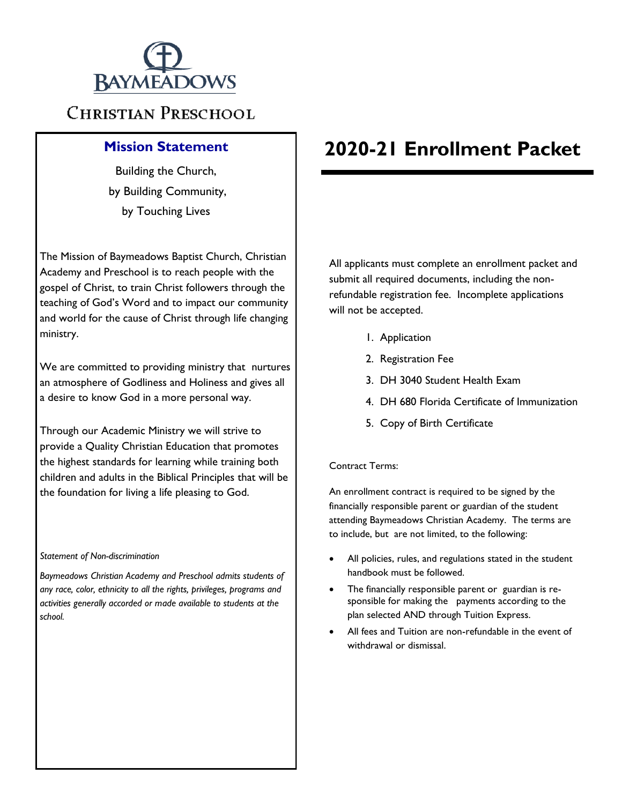

### **CHRISTIAN PRESCHOOL**

Building the Church, by Building Community, by Touching Lives

The Mission of Baymeadows Baptist Church, Christian Academy and Preschool is to reach people with the gospel of Christ, to train Christ followers through the teaching of God's Word and to impact our community and world for the cause of Christ through life changing ministry.

We are committed to providing ministry that nurtures an atmosphere of Godliness and Holiness and gives all a desire to know God in a more personal way.

Through our Academic Ministry we will strive to provide a Quality Christian Education that promotes the highest standards for learning while training both children and adults in the Biblical Principles that will be the foundation for living a life pleasing to God.

#### *Statement of Non-discrimination*

*Baymeadows Christian Academy and Preschool admits students of any race, color, ethnicity to all the rights, privileges, programs and activities generally accorded or made available to students at the school.*

### **Mission Statement 2020-21 Enrollment Packet**

All applicants must complete an enrollment packet and submit all required documents, including the nonrefundable registration fee. Incomplete applications will not be accepted.

- 1. Application
- 2. Registration Fee
- 3. DH 3040 Student Health Exam
- 4. DH 680 Florida Certificate of Immunization
- 5. Copy of Birth Certificate

#### Contract Terms:

An enrollment contract is required to be signed by the financially responsible parent or guardian of the student attending Baymeadows Christian Academy. The terms are to include, but are not limited, to the following:

- All policies, rules, and regulations stated in the student handbook must be followed.
- The financially responsible parent or guardian is responsible for making the payments according to the plan selected AND through Tuition Express.
- All fees and Tuition are non-refundable in the event of withdrawal or dismissal.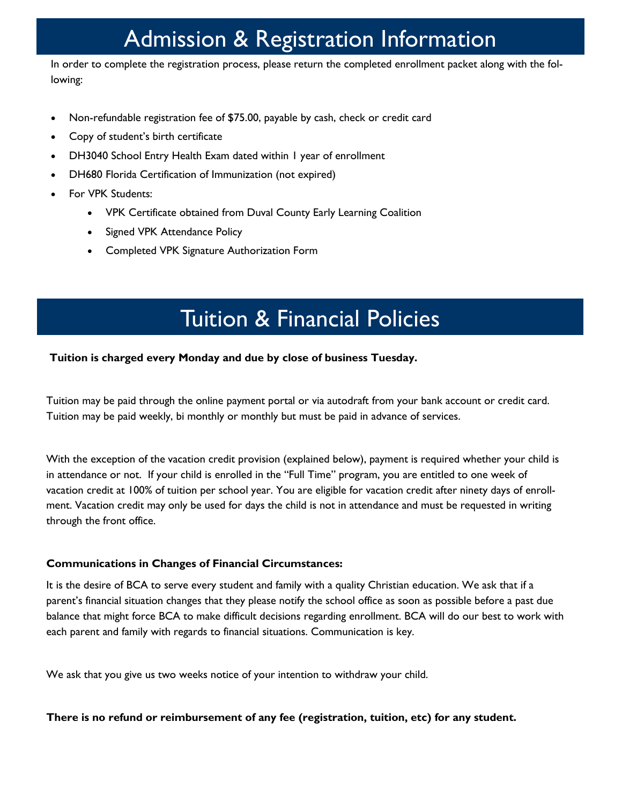# Admission & Registration Information

In order to complete the registration process, please return the completed enrollment packet along with the following:

- Non-refundable registration fee of \$75.00, payable by cash, check or credit card
- Copy of student's birth certificate
- DH3040 School Entry Health Exam dated within 1 year of enrollment
- DH680 Florida Certification of Immunization (not expired)
- For VPK Students:
	- VPK Certificate obtained from Duval County Early Learning Coalition
	- Signed VPK Attendance Policy
	- Completed VPK Signature Authorization Form

## Tuition & Financial Policies

### **Tuition is charged every Monday and due by close of business Tuesday.**

Tuition may be paid through the online payment portal or via autodraft from your bank account or credit card. Tuition may be paid weekly, bi monthly or monthly but must be paid in advance of services.

With the exception of the vacation credit provision (explained below), payment is required whether your child is in attendance or not. If your child is enrolled in the "Full Time" program, you are entitled to one week of vacation credit at 100% of tuition per school year. You are eligible for vacation credit after ninety days of enrollment. Vacation credit may only be used for days the child is not in attendance and must be requested in writing through the front office.

### **Communications in Changes of Financial Circumstances:**

It is the desire of BCA to serve every student and family with a quality Christian education. We ask that if a parent's financial situation changes that they please notify the school office as soon as possible before a past due balance that might force BCA to make difficult decisions regarding enrollment. BCA will do our best to work with each parent and family with regards to financial situations. Communication is key.

We ask that you give us two weeks notice of your intention to withdraw your child.

**There is no refund or reimbursement of any fee (registration, tuition, etc) for any student.**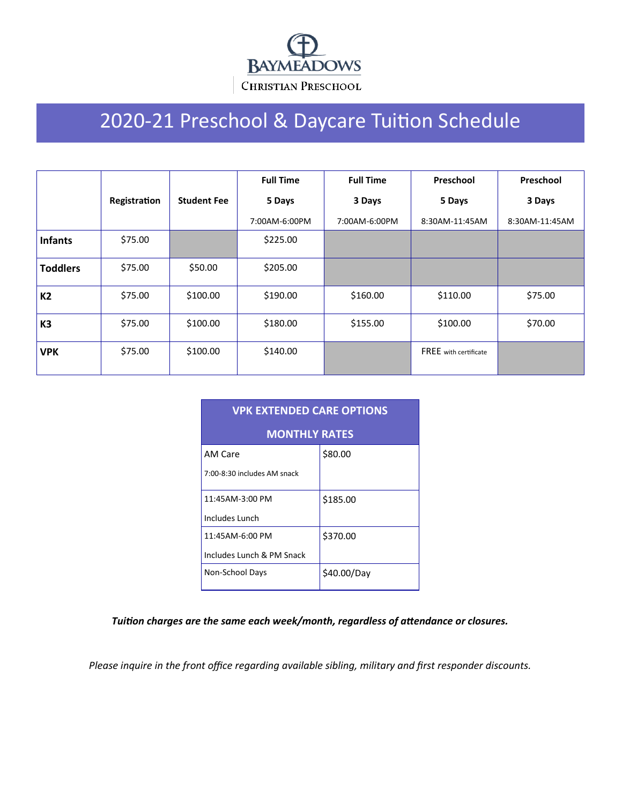

# 2020-21 Preschool & Daycare Tuition Schedule

|                 |              |                    | <b>Full Time</b> | <b>Full Time</b> | Preschool                    | Preschool      |
|-----------------|--------------|--------------------|------------------|------------------|------------------------------|----------------|
|                 | Registration | <b>Student Fee</b> | 5 Days           | 3 Days           | 5 Days                       | 3 Days         |
|                 |              |                    | 7:00AM-6:00PM    | 7:00AM-6:00PM    | 8:30AM-11:45AM               | 8:30AM-11:45AM |
| <b>Infants</b>  | \$75.00      |                    | \$225.00         |                  |                              |                |
| <b>Toddlers</b> | \$75.00      | \$50.00            | \$205.00         |                  |                              |                |
| K2              | \$75.00      | \$100.00           | \$190.00         | \$160.00         | \$110.00                     | \$75.00        |
| K <sub>3</sub>  | \$75.00      | \$100.00           | \$180.00         | \$155.00         | \$100.00                     | \$70.00        |
| <b>VPK</b>      | \$75.00      | \$100.00           | \$140.00         |                  | <b>FREE</b> with certificate |                |

| <b>VPK EXTENDED CARE OPTIONS</b> |             |  |  |  |  |  |  |
|----------------------------------|-------------|--|--|--|--|--|--|
| <b>MONTHLY RATES</b>             |             |  |  |  |  |  |  |
| AM Care                          | \$80.00     |  |  |  |  |  |  |
| 7:00-8:30 includes AM snack      |             |  |  |  |  |  |  |
| 11:45AM-3:00 PM                  | \$185.00    |  |  |  |  |  |  |
| Includes Lunch                   |             |  |  |  |  |  |  |
| 11:45AM-6:00 PM                  | \$370.00    |  |  |  |  |  |  |
| Includes Lunch & PM Snack        |             |  |  |  |  |  |  |
| Non-School Days                  | \$40.00/Day |  |  |  |  |  |  |

*Tuition charges are the same each week/month, regardless of attendance or closures.* 

*Please inquire in the front office regarding available sibling, military and first responder discounts.*